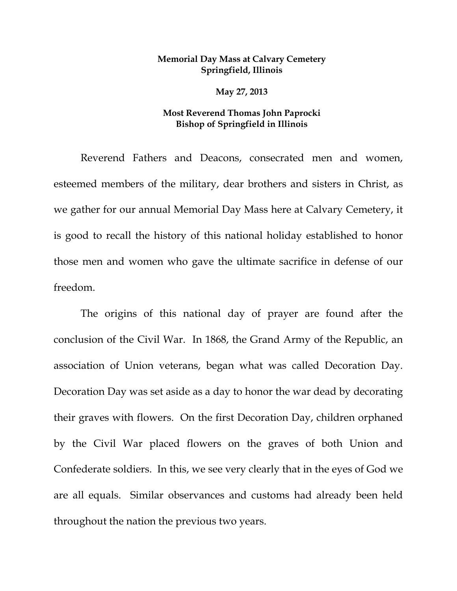## **Memorial Day Mass at Calvary Cemetery Springfield, Illinois**

**May 27, 2013** 

## **Most Reverend Thomas John Paprocki Bishop of Springfield in Illinois**

Reverend Fathers and Deacons, consecrated men and women, esteemed members of the military, dear brothers and sisters in Christ, as we gather for our annual Memorial Day Mass here at Calvary Cemetery, it is good to recall the history of this national holiday established to honor those men and women who gave the ultimate sacrifice in defense of our freedom.

The origins of this national day of prayer are found after the conclusion of the Civil War. In 1868, the Grand Army of the Republic, an association of Union veterans, began what was called Decoration Day. Decoration Day was set aside as a day to honor the war dead by decorating their graves with flowers. On the first Decoration Day, children orphaned by the Civil War placed flowers on the graves of both Union and Confederate soldiers. In this, we see very clearly that in the eyes of God we are all equals. Similar observances and customs had already been held throughout the nation the previous two years.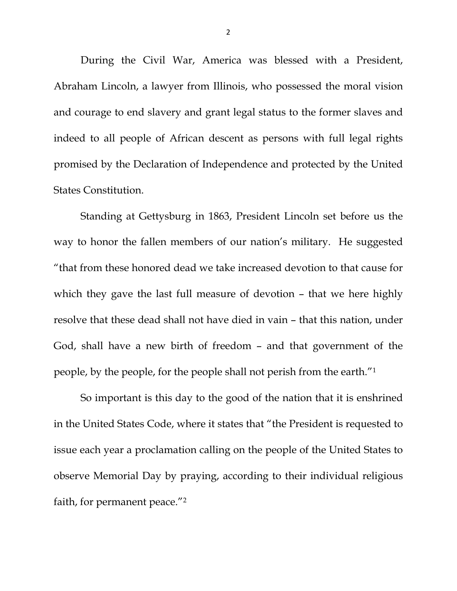During the Civil War, America was blessed with a President, Abraham Lincoln, a lawyer from Illinois, who possessed the moral vision and courage to end slavery and grant legal status to the former slaves and indeed to all people of African descent as persons with full legal rights promised by the Declaration of Independence and protected by the United States Constitution.

Standing at Gettysburg in 1863, President Lincoln set before us the way to honor the fallen members of our nation's military. He suggested "that from these honored dead we take increased devotion to that cause for which they gave the last full measure of devotion - that we here highly resolve that these dead shall not have died in vain – that this nation, under God, shall have a new birth of freedom – and that government of the people, by the people, for the people shall not perish from the earth."1

So important is this day to the good of the nation that it is enshrined in the United States Code, where it states that "the President is requested to issue each year a proclamation calling on the people of the United States to observe Memorial Day by praying, according to their individual religious faith, for permanent peace."2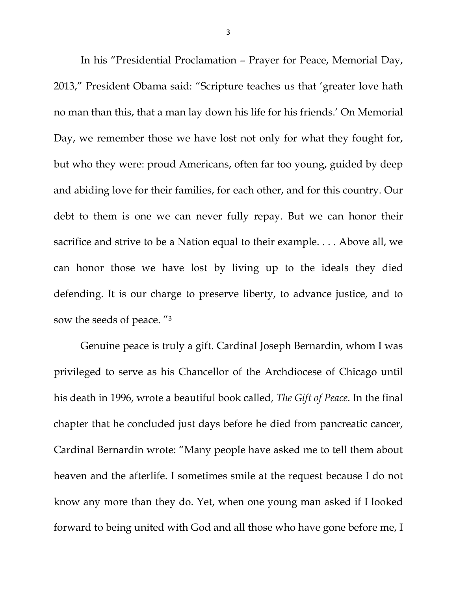In his "Presidential Proclamation – Prayer for Peace, Memorial Day, 2013," President Obama said: "Scripture teaches us that 'greater love hath no man than this, that a man lay down his life for his friends.' On Memorial Day, we remember those we have lost not only for what they fought for, but who they were: proud Americans, often far too young, guided by deep and abiding love for their families, for each other, and for this country. Our debt to them is one we can never fully repay. But we can honor their sacrifice and strive to be a Nation equal to their example. . . . Above all, we can honor those we have lost by living up to the ideals they died defending. It is our charge to preserve liberty, to advance justice, and to sow the seeds of peace. "3

Genuine peace is truly a gift. Cardinal Joseph Bernardin, whom I was privileged to serve as his Chancellor of the Archdiocese of Chicago until his death in 1996, wrote a beautiful book called, *The Gift of Peace*. In the final chapter that he concluded just days before he died from pancreatic cancer, Cardinal Bernardin wrote: "Many people have asked me to tell them about heaven and the afterlife. I sometimes smile at the request because I do not know any more than they do. Yet, when one young man asked if I looked forward to being united with God and all those who have gone before me, I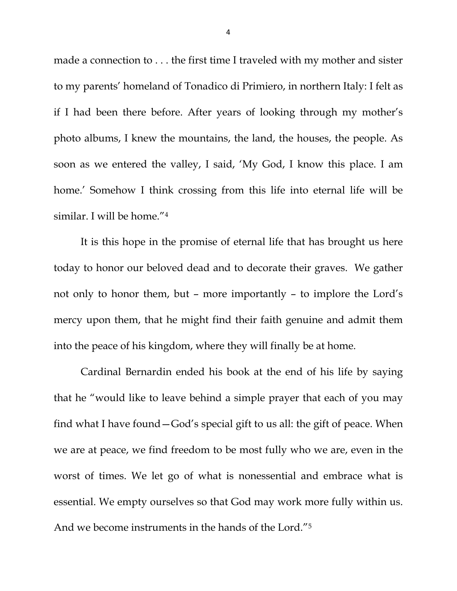made a connection to . . . the first time I traveled with my mother and sister to my parents' homeland of Tonadico di Primiero, in northern Italy: I felt as if I had been there before. After years of looking through my mother's photo albums, I knew the mountains, the land, the houses, the people. As soon as we entered the valley, I said, 'My God, I know this place. I am home.' Somehow I think crossing from this life into eternal life will be similar. I will be home."4

It is this hope in the promise of eternal life that has brought us here today to honor our beloved dead and to decorate their graves. We gather not only to honor them, but – more importantly – to implore the Lord's mercy upon them, that he might find their faith genuine and admit them into the peace of his kingdom, where they will finally be at home.

Cardinal Bernardin ended his book at the end of his life by saying that he "would like to leave behind a simple prayer that each of you may find what I have found—God's special gift to us all: the gift of peace. When we are at peace, we find freedom to be most fully who we are, even in the worst of times. We let go of what is nonessential and embrace what is essential. We empty ourselves so that God may work more fully within us. And we become instruments in the hands of the Lord."5

4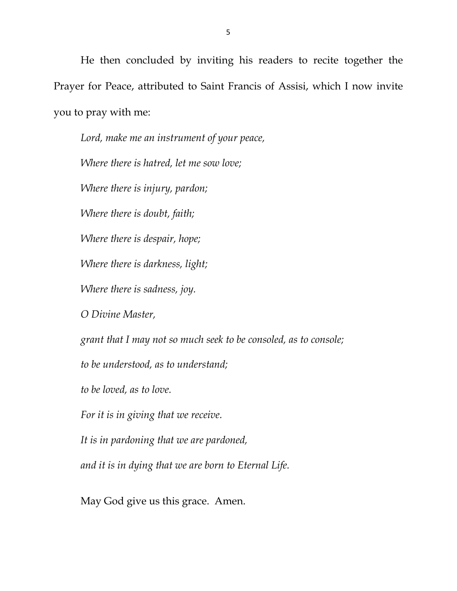He then concluded by inviting his readers to recite together the Prayer for Peace, attributed to Saint Francis of Assisi, which I now invite you to pray with me:

*Lord, make me an instrument of your peace, Where there is hatred, let me sow love; Where there is injury, pardon; Where there is doubt, faith; Where there is despair, hope; Where there is darkness, light; Where there is sadness, joy. O Divine Master, grant that I may not so much seek to be consoled, as to console; to be understood, as to understand; to be loved, as to love. For it is in giving that we receive. It is in pardoning that we are pardoned, and it is in dying that we are born to Eternal Life.*

May God give us this grace. Amen.